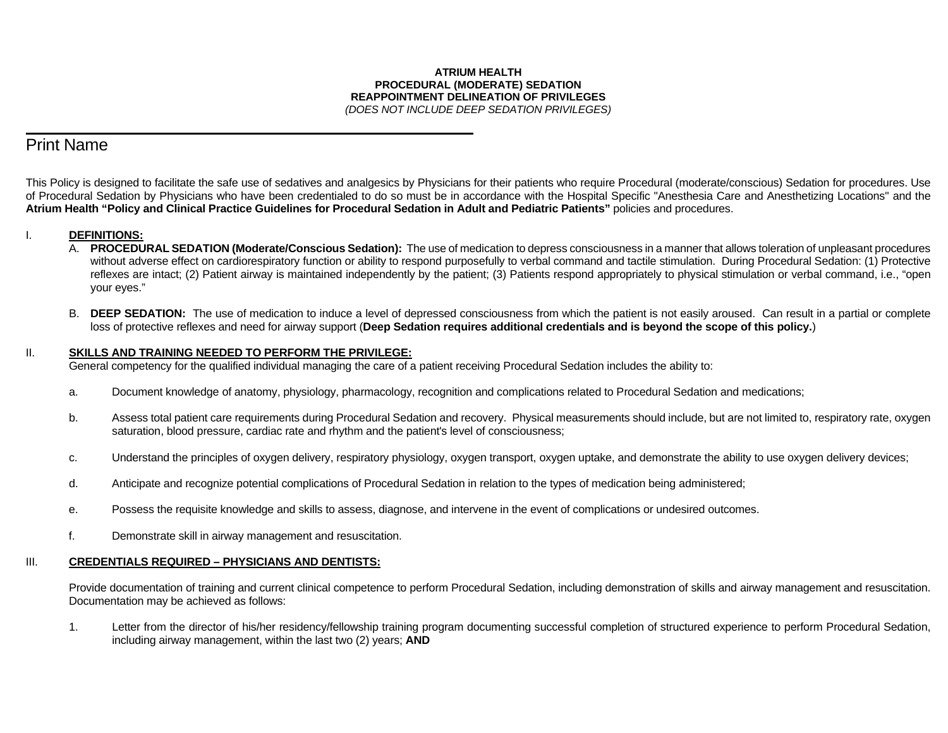#### **ATRIUM HEALTH PROCEDURAL (MODERATE) SEDATION REAPPOINTMENT DELINEATION OF PRIVILEGES** *(DOES NOT INCLUDE DEEP SEDATION PRIVILEGES)*

# Print Name

 $\overline{a}$ 

This Policy is designed to facilitate the safe use of sedatives and analgesics by Physicians for their patients who require Procedural (moderate/conscious) Sedation for procedures. Use of Procedural Sedation by Physicians who have been credentialed to do so must be in accordance with the Hospital Specific "Anesthesia Care and Anesthetizing Locations" and the **Atrium Health "Policy and Clinical Practice Guidelines for Procedural Sedation in Adult and Pediatric Patients"** policies and procedures.

### I. **DEFINITIONS:**

- A. **PROCEDURAL SEDATION (Moderate/Conscious Sedation):** The use of medication to depress consciousness in a manner that allows toleration of unpleasant procedures without adverse effect on cardiorespiratory function or ability to respond purposefully to verbal command and tactile stimulation. During Procedural Sedation: (1) Protective reflexes are intact; (2) Patient airway is maintained independently by the patient; (3) Patients respond appropriately to physical stimulation or verbal command, i.e., "open your eyes."
- B. **DEEP SEDATION:** The use of medication to induce a level of depressed consciousness from which the patient is not easily aroused. Can result in a partial or complete loss of protective reflexes and need for airway support (**Deep Sedation requires additional credentials and is beyond the scope of this policy.**)

#### II. **SKILLS AND TRAINING NEEDED TO PERFORM THE PRIVILEGE:**

General competency for the qualified individual managing the care of a patient receiving Procedural Sedation includes the ability to:

- a. Document knowledge of anatomy, physiology, pharmacology, recognition and complications related to Procedural Sedation and medications;
- b. Assess total patient care requirements during Procedural Sedation and recovery. Physical measurements should include, but are not limited to, respiratory rate, oxygen saturation, blood pressure, cardiac rate and rhythm and the patient's level of consciousness;
- c. Understand the principles of oxygen delivery, respiratory physiology, oxygen transport, oxygen uptake, and demonstrate the ability to use oxygen delivery devices;
- d. Anticipate and recognize potential complications of Procedural Sedation in relation to the types of medication being administered;
- e. Possess the requisite knowledge and skills to assess, diagnose, and intervene in the event of complications or undesired outcomes.
- f. Demonstrate skill in airway management and resuscitation.

#### III. **CREDENTIALS REQUIRED – PHYSICIANS AND DENTISTS:**

Provide documentation of training and current clinical competence to perform Procedural Sedation, including demonstration of skills and airway management and resuscitation. Documentation may be achieved as follows:

1. Letter from the director of his/her residency/fellowship training program documenting successful completion of structured experience to perform Procedural Sedation, including airway management, within the last two (2) years; **AND**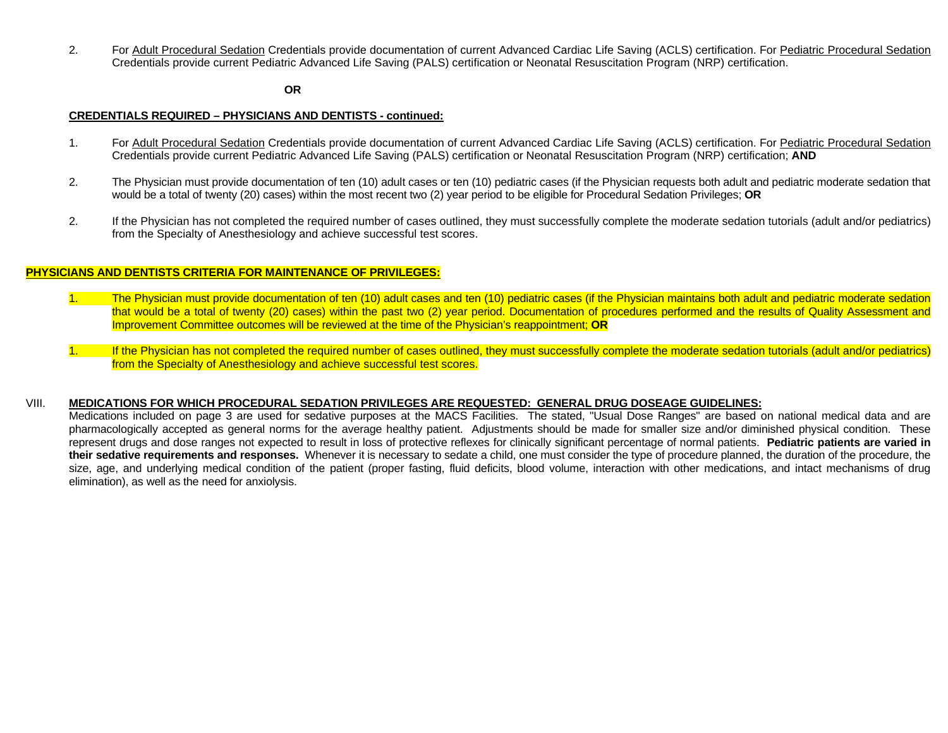2. For Adult Procedural Sedation Credentials provide documentation of current Advanced Cardiac Life Saving (ACLS) certification. For Pediatric Procedural Sedation Credentials provide current Pediatric Advanced Life Saving (PALS) certification or Neonatal Resuscitation Program (NRP) certification.

#### **OR**

#### **CREDENTIALS REQUIRED – PHYSICIANS AND DENTISTS - continued:**

- 1. For Adult Procedural Sedation Credentials provide documentation of current Advanced Cardiac Life Saving (ACLS) certification. For Pediatric Procedural Sedation Credentials provide current Pediatric Advanced Life Saving (PALS) certification or Neonatal Resuscitation Program (NRP) certification; **AND**
- 2. The Physician must provide documentation of ten (10) adult cases or ten (10) pediatric cases (if the Physician requests both adult and pediatric moderate sedation that would be a total of twenty (20) cases) within the most recent two (2) year period to be eligible for Procedural Sedation Privileges; **OR**
- 2. If the Physician has not completed the required number of cases outlined, they must successfully complete the moderate sedation tutorials (adult and/or pediatrics) from the Specialty of Anesthesiology and achieve successful test scores.

#### **PHYSICIANS AND DENTISTS CRITERIA FOR MAINTENANCE OF PRIVILEGES:**

- 1. The Physician must provide documentation of ten (10) adult cases and ten (10) pediatric cases (if the Physician maintains both adult and pediatric moderate sedation that would be a total of twenty (20) cases) within the past two (2) year period. Documentation of procedures performed and the results of Quality Assessment and Improvement Committee outcomes will be reviewed at the time of the Physician's reappointment; **OR**
- 1. If the Physician has not completed the required number of cases outlined, they must successfully complete the moderate sedation tutorials (adult and/or pediatrics) from the Specialty of Anesthesiology and achieve successful test scores.

#### VIII. **MEDICATIONS FOR WHICH PROCEDURAL SEDATION PRIVILEGES ARE REQUESTED: GENERAL DRUG DOSEAGE GUIDELINES:**

Medications included on page 3 are used for sedative purposes at the MACS Facilities. The stated, "Usual Dose Ranges" are based on national medical data and are pharmacologically accepted as general norms for the average healthy patient. Adjustments should be made for smaller size and/or diminished physical condition. These represent drugs and dose ranges not expected to result in loss of protective reflexes for clinically significant percentage of normal patients. **Pediatric patients are varied in their sedative requirements and responses.** Whenever it is necessary to sedate a child, one must consider the type of procedure planned, the duration of the procedure, the size, age, and underlying medical condition of the patient (proper fasting, fluid deficits, blood volume, interaction with other medications, and intact mechanisms of drug elimination), as well as the need for anxiolysis.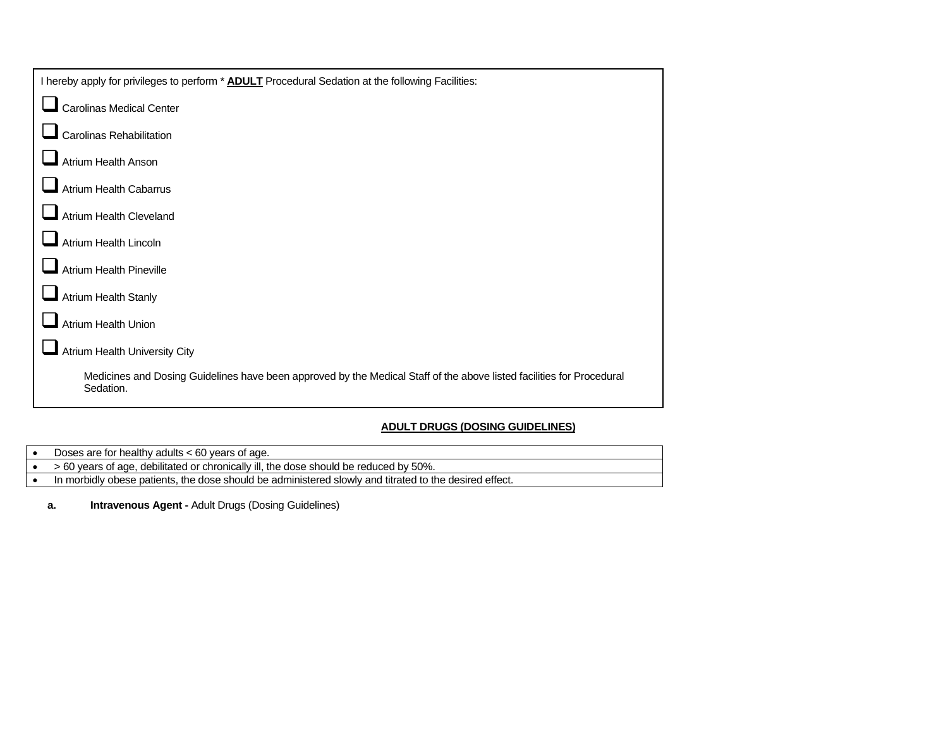### **ADULT DRUGS (DOSING GUIDELINES)**

- Doses are for healthy adults < 60 years of age.
- > 60 years of age, debilitated or chronically ill, the dose should be reduced by 50%.
- In morbidly obese patients, the dose should be administered slowly and titrated to the desired effect.
	- **a. Intravenous Agent -** Adult Drugs (Dosing Guidelines)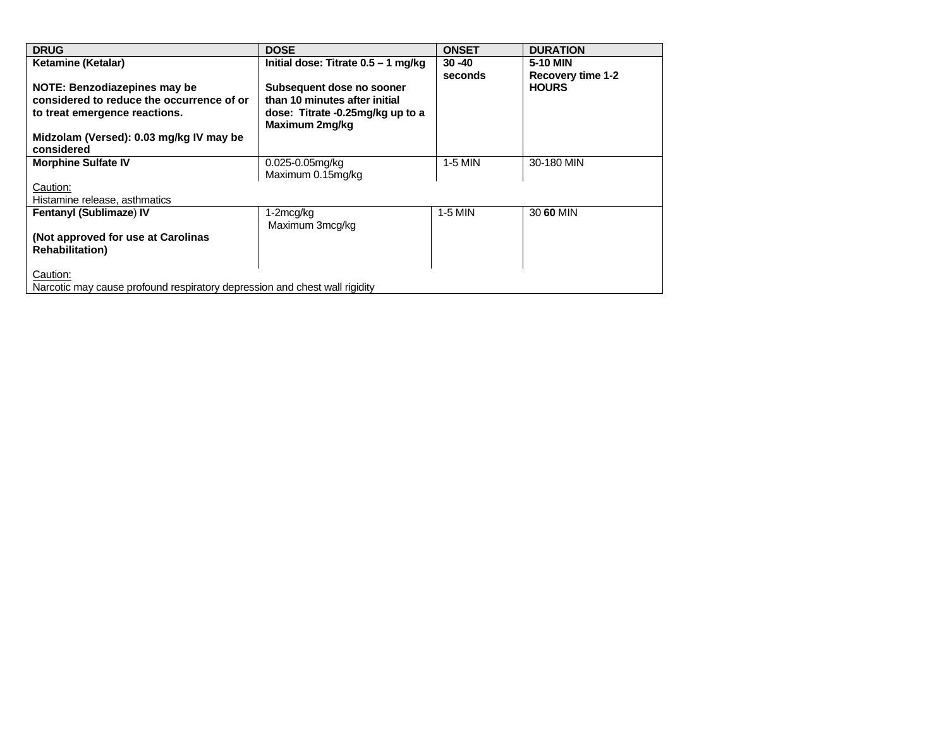| <b>DRUG</b>                                                                | <b>DOSE</b>                                        | <b>ONSET</b> | <b>DURATION</b>   |  |  |
|----------------------------------------------------------------------------|----------------------------------------------------|--------------|-------------------|--|--|
| Ketamine (Ketalar)                                                         | Initial dose: Titrate 0.5 - 1 mg/kg                | $30 - 40$    | 5-10 MIN          |  |  |
|                                                                            |                                                    | seconds      | Recovery time 1-2 |  |  |
| NOTE: Benzodiazepines may be                                               | Subsequent dose no sooner                          |              | <b>HOURS</b>      |  |  |
| considered to reduce the occurrence of or                                  | than 10 minutes after initial                      |              |                   |  |  |
| to treat emergence reactions.                                              | dose: Titrate -0.25mg/kg up to a<br>Maximum 2mg/kg |              |                   |  |  |
| Midzolam (Versed): 0.03 mg/kg IV may be                                    |                                                    |              |                   |  |  |
| considered                                                                 |                                                    |              |                   |  |  |
| <b>Morphine Sulfate IV</b>                                                 | $0.025 - 0.05$ mg/kg                               | $1-5$ MIN    | 30-180 MIN        |  |  |
|                                                                            | Maximum 0.15mg/kg                                  |              |                   |  |  |
| Caution:                                                                   |                                                    |              |                   |  |  |
| Histamine release, asthmatics                                              |                                                    |              |                   |  |  |
| <b>Fentanyl (Sublimaze) IV</b>                                             | 1-2mcg/kg                                          | 1-5 MIN      | 30 60 MIN         |  |  |
|                                                                            | Maximum 3mcg/kg                                    |              |                   |  |  |
| (Not approved for use at Carolinas                                         |                                                    |              |                   |  |  |
| <b>Rehabilitation</b> )                                                    |                                                    |              |                   |  |  |
|                                                                            |                                                    |              |                   |  |  |
| Caution:                                                                   |                                                    |              |                   |  |  |
| Narcotic may cause profound respiratory depression and chest wall rigidity |                                                    |              |                   |  |  |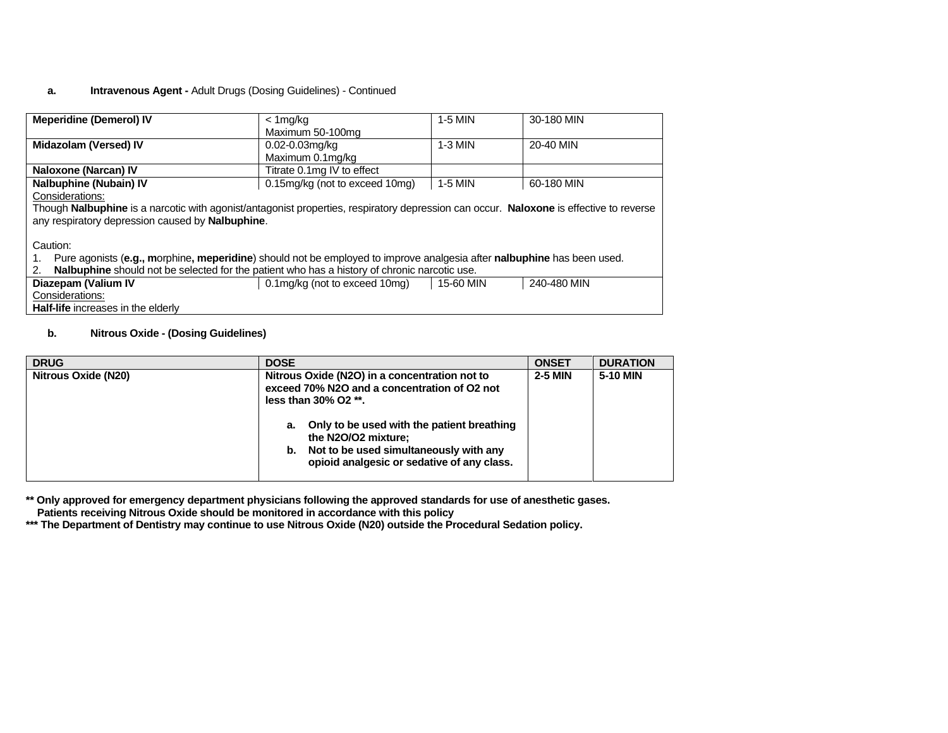### **a. Intravenous Agent -** Adult Drugs (Dosing Guidelines) - Continued

| <b>Meperidine (Demerol) IV</b>                                                                                                         | < 1mg/kg                       | 1-5 MIN   | 30-180 MIN  |
|----------------------------------------------------------------------------------------------------------------------------------------|--------------------------------|-----------|-------------|
|                                                                                                                                        | Maximum 50-100mg               |           |             |
| <b>Midazolam (Versed) IV</b>                                                                                                           | $0.02 - 0.03$ mg/kg            | $1-3$ MIN | 20-40 MIN   |
|                                                                                                                                        | Maximum 0.1mg/kg               |           |             |
| Naloxone (Narcan) IV                                                                                                                   | Titrate 0.1mg IV to effect     |           |             |
| <b>Nalbuphine (Nubain) IV</b>                                                                                                          | 0.15mg/kg (not to exceed 10mg) | 1-5 MIN   | 60-180 MIN  |
| Considerations:                                                                                                                        |                                |           |             |
| Though Nalbuphine is a narcotic with agonist/antagonist properties, respiratory depression can occur. Naloxone is effective to reverse |                                |           |             |
| any respiratory depression caused by Nalbuphine.                                                                                       |                                |           |             |
|                                                                                                                                        |                                |           |             |
| Caution:                                                                                                                               |                                |           |             |
| Pure agonists (e.g., morphine, meperidine) should not be employed to improve analgesia after nalbuphine has been used.                 |                                |           |             |
| Nalbuphine should not be selected for the patient who has a history of chronic narcotic use.<br>2.                                     |                                |           |             |
| Diazepam (Valium IV                                                                                                                    | 0.1mg/kg (not to exceed 10mg)  | 15-60 MIN | 240-480 MIN |
| Considerations:                                                                                                                        |                                |           |             |
| <b>Half-life</b> increases in the elderly                                                                                              |                                |           |             |

#### **b. Nitrous Oxide - (Dosing Guidelines)**

| <b>DRUG</b>         | <b>DOSE</b>                                                                                                                                                                                                                                                                                          | <b>ONSET</b>   | <b>DURATION</b> |
|---------------------|------------------------------------------------------------------------------------------------------------------------------------------------------------------------------------------------------------------------------------------------------------------------------------------------------|----------------|-----------------|
| Nitrous Oxide (N20) | Nitrous Oxide (N2O) in a concentration not to<br>exceed 70% N2O and a concentration of O2 not<br>less than $30\%$ O2 $**$ .<br>Only to be used with the patient breathing<br>а.<br>the N2O/O2 mixture;<br>Not to be used simultaneously with any<br>b.<br>opioid analgesic or sedative of any class. | <b>2-5 MIN</b> | 5-10 MIN        |

**\*\* Only approved for emergency department physicians following the approved standards for use of anesthetic gases. Patients receiving Nitrous Oxide should be monitored in accordance with this policy**

**\*\*\* The Department of Dentistry may continue to use Nitrous Oxide (N20) outside the Procedural Sedation policy.**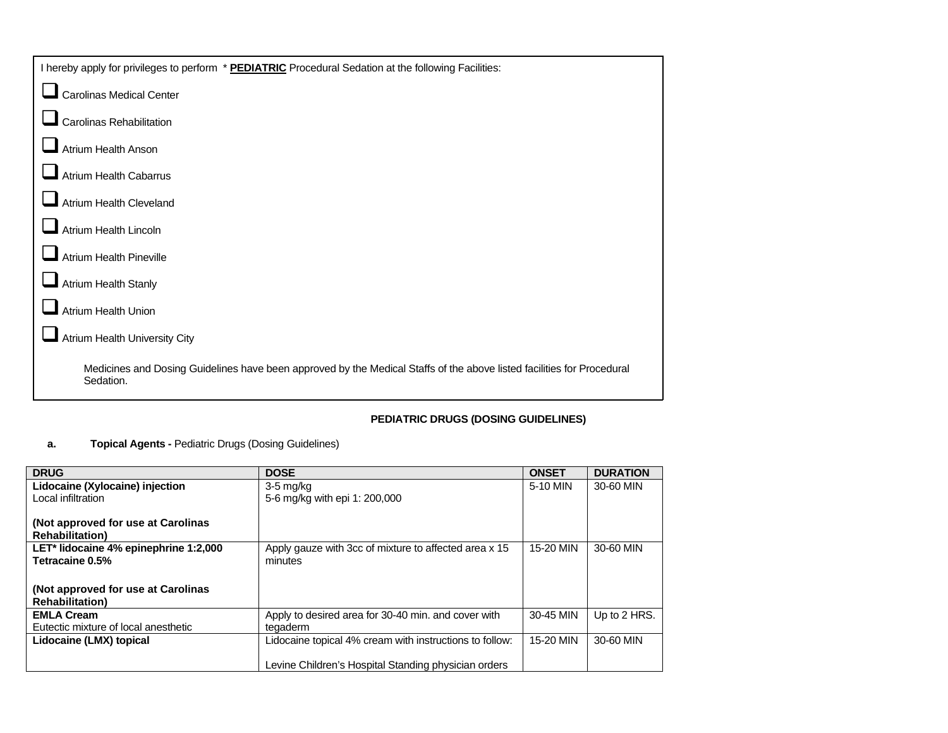| I hereby apply for privileges to perform * PEDIATRIC Procedural Sedation at the following Facilities:                               |
|-------------------------------------------------------------------------------------------------------------------------------------|
| Carolinas Medical Center                                                                                                            |
| Carolinas Rehabilitation                                                                                                            |
| Atrium Health Anson                                                                                                                 |
| <b>Atrium Health Cabarrus</b>                                                                                                       |
| Atrium Health Cleveland                                                                                                             |
| Atrium Health Lincoln                                                                                                               |
| <b>Atrium Health Pineville</b>                                                                                                      |
| Atrium Health Stanly                                                                                                                |
| <b>Atrium Health Union</b>                                                                                                          |
| Atrium Health University City                                                                                                       |
| Medicines and Dosing Guidelines have been approved by the Medical Staffs of the above listed facilities for Procedural<br>Sedation. |

# **PEDIATRIC DRUGS (DOSING GUIDELINES)**

# **a. Topical Agents -** Pediatric Drugs (Dosing Guidelines)

| <b>DRUG</b>                           | <b>DOSE</b>                                             | <b>ONSET</b> | <b>DURATION</b> |
|---------------------------------------|---------------------------------------------------------|--------------|-----------------|
| Lidocaine (Xylocaine) injection       | $3-5$ mg/kg                                             | 5-10 MIN     | 30-60 MIN       |
| Local infiltration                    | 5-6 mg/kg with epi 1: 200,000                           |              |                 |
|                                       |                                                         |              |                 |
| (Not approved for use at Carolinas    |                                                         |              |                 |
| <b>Rehabilitation</b> )               |                                                         |              |                 |
| LET* lidocaine 4% epinephrine 1:2,000 | Apply gauze with 3cc of mixture to affected area x 15   | 15-20 MIN    | 30-60 MIN       |
| Tetracaine 0.5%                       | minutes                                                 |              |                 |
|                                       |                                                         |              |                 |
| (Not approved for use at Carolinas    |                                                         |              |                 |
| <b>Rehabilitation</b> )               |                                                         |              |                 |
| <b>EMLA Cream</b>                     | Apply to desired area for 30-40 min. and cover with     | 30-45 MIN    | Up to 2 HRS.    |
| Eutectic mixture of local anesthetic  | tegaderm                                                |              |                 |
| Lidocaine (LMX) topical               | Lidocaine topical 4% cream with instructions to follow: | 15-20 MIN    | 30-60 MIN       |
|                                       |                                                         |              |                 |
|                                       | Levine Children's Hospital Standing physician orders    |              |                 |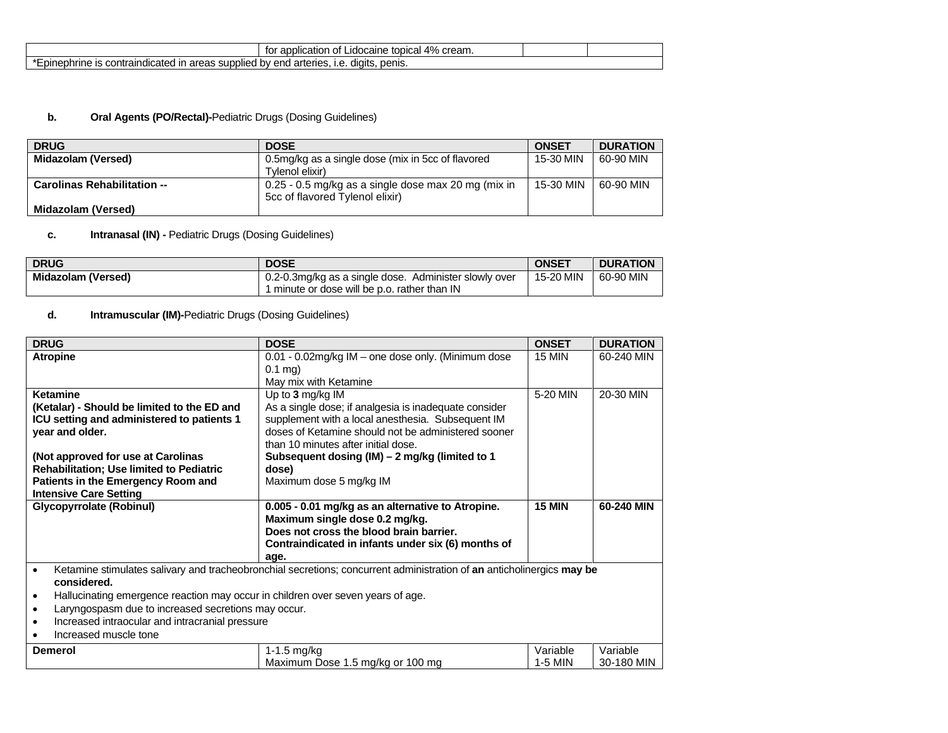|                                                                                                          | 4%<br>topical<br>application<br>cream.<br>tor<br>caine<br>Οt<br>idocai<br>$\overline{\phantom{a}}$ |  |
|----------------------------------------------------------------------------------------------------------|----------------------------------------------------------------------------------------------------|--|
| ır<br>supr<br>olle<br>dicated '<br>∍areas<br>aino<br>nrine<br>- 10<br>CONT "<br>- JII '<br>. 159.<br>. . | penis.<br>diaits<br>arteries<br>ena<br>nv<br>1.U                                                   |  |

# **b. Oral Agents (PO/Rectal)-**Pediatric Drugs (Dosing Guidelines)

| <b>DRUG</b>                        | <b>DOSE</b>                                         | <b>ONSET</b> | <b>DURATION</b> |
|------------------------------------|-----------------------------------------------------|--------------|-----------------|
| Midazolam (Versed)                 | 0.5mg/kg as a single dose (mix in 5cc of flavored   | 15-30 MIN    | 60-90 MIN       |
|                                    | Tylenol elixir)                                     |              |                 |
| <b>Carolinas Rehabilitation --</b> | 0.25 - 0.5 mg/kg as a single dose max 20 mg (mix in | 15-30 MIN    | 60-90 MIN       |
|                                    | 5cc of flavored Tylenol elixir)                     |              |                 |
| Midazolam (Versed)                 |                                                     |              |                 |

# **c. Intranasal (IN) -** Pediatric Drugs (Dosing Guidelines)

| <b>DRUG</b>               | <b>DOSE</b>                                                                                           | <b>ONSET</b> | <b>DURATION</b> |
|---------------------------|-------------------------------------------------------------------------------------------------------|--------------|-----------------|
| <b>Midazolam (Versed)</b> | 0.2-0.3mg/kg as a single dose. Administer slowly over<br>I minute or dose will be p.o. rather than IN | 15-20 MIN    | 60-90 MIN       |

# **d. Intramuscular (IM)-**Pediatric Drugs (Dosing Guidelines)

| <b>DRUG</b>                                                                                                                                                                                                                                                      | <b>DOSE</b>                                                                                                                                                                                                                    | <b>ONSET</b>        | <b>DURATION</b>        |
|------------------------------------------------------------------------------------------------------------------------------------------------------------------------------------------------------------------------------------------------------------------|--------------------------------------------------------------------------------------------------------------------------------------------------------------------------------------------------------------------------------|---------------------|------------------------|
| <b>Atropine</b>                                                                                                                                                                                                                                                  | 0.01 - 0.02mg/kg IM - one dose only. (Minimum dose<br>$0.1$ mg)<br>May mix with Ketamine                                                                                                                                       | <b>15 MIN</b>       | 60-240 MIN             |
| Ketamine<br>(Ketalar) - Should be limited to the ED and<br>ICU setting and administered to patients 1<br>year and older.                                                                                                                                         | Up to $3$ mg/kg IM<br>As a single dose; if analgesia is inadequate consider<br>supplement with a local anesthesia. Subsequent IM<br>doses of Ketamine should not be administered sooner<br>than 10 minutes after initial dose. | 5-20 MIN            | 20-30 MIN              |
| (Not approved for use at Carolinas<br><b>Rehabilitation; Use limited to Pediatric</b><br>Patients in the Emergency Room and<br><b>Intensive Care Setting</b>                                                                                                     | Subsequent dosing (IM) - 2 mg/kg (limited to 1<br>dose)<br>Maximum dose 5 mg/kg IM                                                                                                                                             |                     |                        |
| <b>Glycopyrrolate (Robinul)</b>                                                                                                                                                                                                                                  | 0.005 - 0.01 mg/kg as an alternative to Atropine.<br>Maximum single dose 0.2 mg/kg.<br>Does not cross the blood brain barrier.<br>Contraindicated in infants under six (6) months of<br>age.                                   | <b>15 MIN</b>       | 60-240 MIN             |
| $\bullet$<br>considered.<br>Hallucinating emergence reaction may occur in children over seven years of age.<br>Laryngospasm due to increased secretions may occur.<br>$\bullet$<br>Increased intraocular and intracranial pressure<br>٠<br>Increased muscle tone | Ketamine stimulates salivary and tracheobronchial secretions; concurrent administration of an anticholinergics may be                                                                                                          |                     |                        |
| <b>Demerol</b>                                                                                                                                                                                                                                                   | $1-1.5$ mg/kg<br>Maximum Dose 1.5 mg/kg or 100 mg                                                                                                                                                                              | Variable<br>1-5 MIN | Variable<br>30-180 MIN |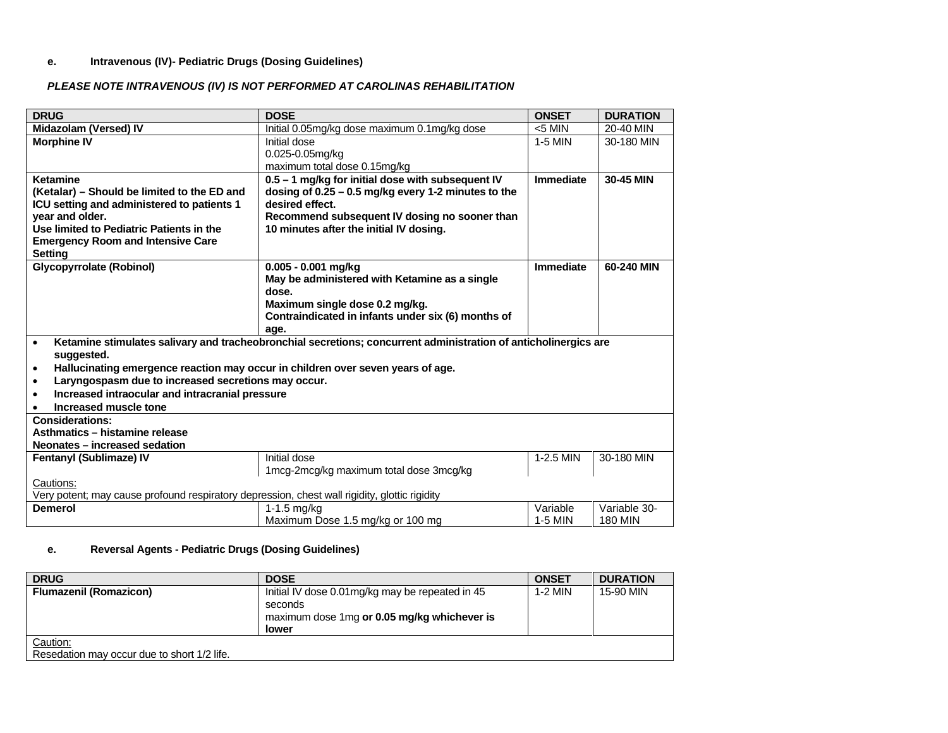### **e. Intravenous (IV)- Pediatric Drugs (Dosing Guidelines)**

### *PLEASE NOTE INTRAVENOUS (IV) IS NOT PERFORMED AT CAROLINAS REHABILITATION*

| <b>DRUG</b>                                                                                   | <b>DOSE</b>                                                                                                     | <b>ONSET</b> | <b>DURATION</b> |
|-----------------------------------------------------------------------------------------------|-----------------------------------------------------------------------------------------------------------------|--------------|-----------------|
| Midazolam (Versed) IV                                                                         | Initial 0.05mg/kg dose maximum 0.1mg/kg dose                                                                    | $<$ 5 MIN    | 20-40 MIN       |
| <b>Morphine IV</b>                                                                            | Initial dose                                                                                                    | 1-5 MIN      | 30-180 MIN      |
|                                                                                               | 0.025-0.05mg/kg                                                                                                 |              |                 |
|                                                                                               | maximum total dose 0.15mg/kg                                                                                    |              |                 |
| <b>Ketamine</b>                                                                               | 0.5 - 1 mg/kg for initial dose with subsequent IV                                                               | Immediate    | 30-45 MIN       |
| (Ketalar) – Should be limited to the ED and                                                   | dosing of $0.25 - 0.5$ mg/kg every 1-2 minutes to the                                                           |              |                 |
| ICU setting and administered to patients 1                                                    | desired effect.                                                                                                 |              |                 |
| year and older.                                                                               | Recommend subsequent IV dosing no sooner than                                                                   |              |                 |
| Use limited to Pediatric Patients in the                                                      | 10 minutes after the initial IV dosing.                                                                         |              |                 |
| <b>Emergency Room and Intensive Care</b>                                                      |                                                                                                                 |              |                 |
| <b>Setting</b>                                                                                |                                                                                                                 |              |                 |
| <b>Glycopyrrolate (Robinol)</b>                                                               | $0.005 - 0.001$ mg/kg                                                                                           | Immediate    | 60-240 MIN      |
|                                                                                               | May be administered with Ketamine as a single                                                                   |              |                 |
|                                                                                               | dose.                                                                                                           |              |                 |
|                                                                                               | Maximum single dose 0.2 mg/kg.                                                                                  |              |                 |
|                                                                                               | Contraindicated in infants under six (6) months of                                                              |              |                 |
|                                                                                               | age.                                                                                                            |              |                 |
| $\bullet$<br>suggested.                                                                       | Ketamine stimulates salivary and tracheobronchial secretions; concurrent administration of anticholinergics are |              |                 |
| Hallucinating emergence reaction may occur in children over seven years of age.               |                                                                                                                 |              |                 |
| $\bullet$<br>Laryngospasm due to increased secretions may occur.<br>$\bullet$                 |                                                                                                                 |              |                 |
| Increased intraocular and intracranial pressure                                               |                                                                                                                 |              |                 |
| ٠<br>Increased muscle tone                                                                    |                                                                                                                 |              |                 |
| <b>Considerations:</b>                                                                        |                                                                                                                 |              |                 |
| Asthmatics - histamine release                                                                |                                                                                                                 |              |                 |
| Neonates - increased sedation                                                                 |                                                                                                                 |              |                 |
| Fentanyl (Sublimaze) IV                                                                       | Initial dose                                                                                                    | 1-2.5 MIN    | 30-180 MIN      |
|                                                                                               | 1mcg-2mcg/kg maximum total dose 3mcg/kg                                                                         |              |                 |
| Cautions:                                                                                     |                                                                                                                 |              |                 |
| Very potent; may cause profound respiratory depression, chest wall rigidity, glottic rigidity |                                                                                                                 |              |                 |
| <b>Demerol</b>                                                                                | $1-1.5$ mg/kg                                                                                                   | Variable     | Variable 30-    |
|                                                                                               | Maximum Dose 1.5 mg/kg or 100 mg                                                                                | 1-5 MIN      | <b>180 MIN</b>  |

### **e. Reversal Agents - Pediatric Drugs (Dosing Guidelines)**

| <b>DRUG</b>                                 | <b>DOSE</b>                                     | <b>ONSET</b> | <b>DURATION</b> |
|---------------------------------------------|-------------------------------------------------|--------------|-----------------|
| <b>Flumazenil (Romazicon)</b>               | Initial IV dose 0.01mg/kg may be repeated in 45 | $1-2$ MIN    | 15-90 MIN       |
|                                             | seconds                                         |              |                 |
|                                             | maximum dose 1mg or 0.05 mg/kg whichever is     |              |                 |
|                                             | <b>lower</b>                                    |              |                 |
| Caution:                                    |                                                 |              |                 |
| Resedation may occur due to short 1/2 life. |                                                 |              |                 |